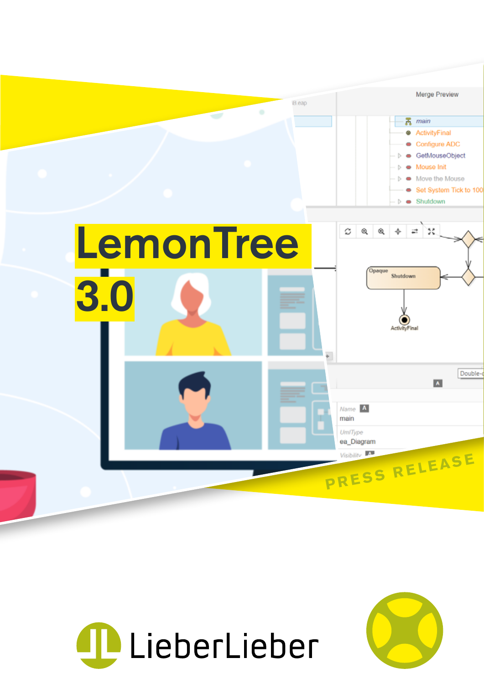



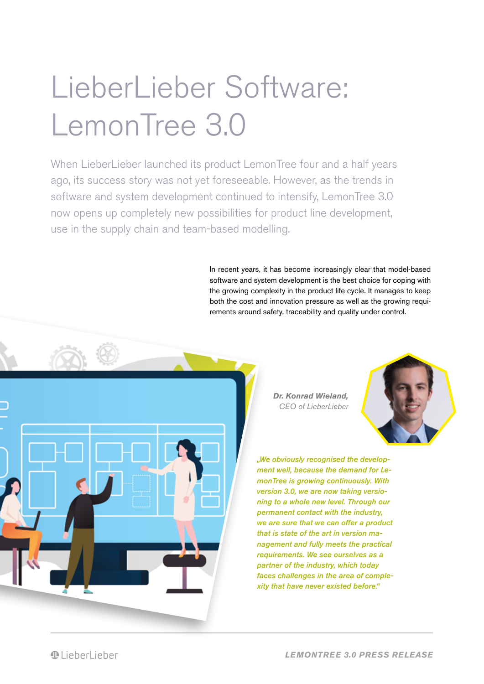# LieberLieber Software: LemonTree 3.0

When LieberLieber launched its product LemonTree four and a half years ago, its success story was not yet foreseeable. However, as the trends in software and system development continued to intensify, LemonTree 3.0 now opens up completely new possibilities for product line development, use in the supply chain and team-based modelling.

> In recent years, it has become increasingly clear that model-based software and system development is the best choice for coping with the growing complexity in the product life cycle. It manages to keep both the cost and innovation pressure as well as the growing requirements around safety, traceability and quality under control.



**Dr. Konrad Wieland,**   $CFO$  of LieberLieber



..We obviously recognised the development well, because the demand for LemonTree is growing continuously. With version 3.0, we are now taking versioning to a whole new level. Through our permanent contact with the industry, we are sure that we can offer a product that is state of the art in version management and fully meets the practical requirements. We see ourselves as a partner of the industry, which today faces challenges in the area of complexity that have never existed before."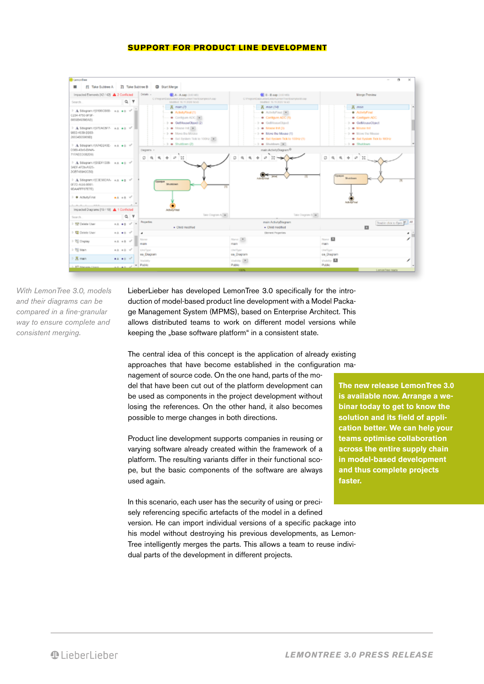### **SUPPORT FOR PRODUCT LINE DEVELOPMENT**



With LemonTree 3.0, models and their diagrams can be compared in a fine-granular way to ensure complete and consistent merging.

LieberLieber has developed LemonTree 3.0 specifically for the introduction of model-based product line development with a Model Package Management System (MPMS), based on Enterprise Architect. This allows distributed teams to work on different model versions while keeping the "base software platform" in a consistent state.

The central idea of this concept is the application of already existing approaches that have become established in the configuration management of source code. On the one hand, parts of the model that have been cut out of the platform development can be used as components in the project development without losing the references. On the other hand, it also becomes possible to merge changes in both directions.

Product line development supports companies in reusing or varying software already created within the framework of a platform. The resulting variants differ in their functional scope, but the basic components of the software are always used again.

In this scenario, each user has the security of using or precisely referencing specific artefacts of the model in a defined version. He can import individual versions of a specific package into his model without destroying his previous developments, as Lemon-Tree intelligently merges the parts. This allows a team to reuse individual parts of the development in different projects.

**The new release LemonTree 3.0 is available now. Arrange a webinar today to get to know the solution and its field of application better. We can help your teams optimise collaboration across the entire supply chain in model-based development and thus complete projects faster.**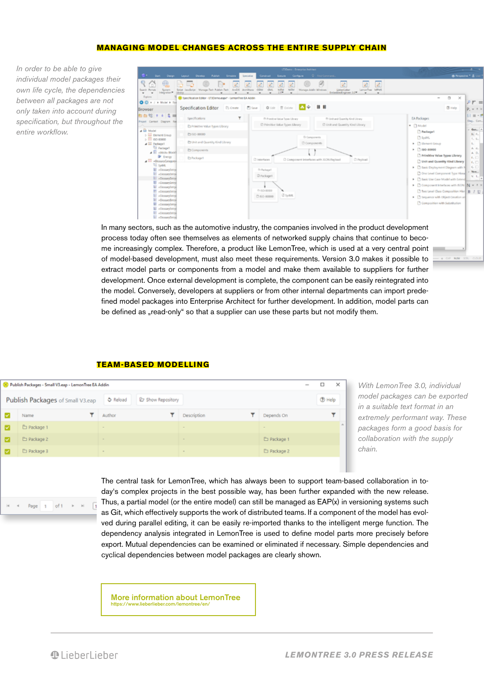## **MANAGING MODEL CHANGES ACROSS THE ENTIRE SUPPLY CHAIN**

In order to be able to give individual model packages their own life cycle, the dependencies between all packages are not only taken into account during specification, but throughout the entire workflow.

| USDams - Enterprise Anthines                                                                                                                                               |                                                             |                                                                                                                                                                                                                             | $\sim$                                                                                  |
|----------------------------------------------------------------------------------------------------------------------------------------------------------------------------|-------------------------------------------------------------|-----------------------------------------------------------------------------------------------------------------------------------------------------------------------------------------------------------------------------|-----------------------------------------------------------------------------------------|
| S . Set Deep<br>Search Romals<br>System<br>Integration*<br>$\cdot$                                                                                                         | Leycul Develop Publish Smalete<br>Solot Jacobriot           | Specialize<br>Construct -<br><b>Emails</b> Carifigure<br>Q First Command<br>ø<br>LemonTree MRMS<br><b>Celter/Cidae</b><br>2.19<br>Interacted regions: 1.0*<br>٠<br>$\frac{1}{2}$<br>۰<br>$\overline{\phantom{a}}$<br>$\sim$ | @ Persentive * & U<br>國<br>$\;$                                                         |
| Egiora                                                                                                                                                                     | 30 Specification Editor - ET3Demousput - LemonTree EA Addin |                                                                                                                                                                                                                             | $\circ$<br>$\times$<br>$\overline{\phantom{a}}$                                         |
| Browser                                                                                                                                                                    | C1 Create<br>Specification Editor                           | . .<br><b>M</b> 9<br>O Lot 17 Drive<br><b>C</b> Save                                                                                                                                                                        | $20$ Help<br>$x + x$                                                                    |
| 町山昭 + 4 名画<br>Project Cantest Diagram Ret                                                                                                                                  | ۳<br>Specifications.                                        | @ Primitive Value Topes Library<br>Th Unit and Quantity Kind Library                                                                                                                                                        | $E1 \equiv -10$<br>EA Packages<br>Deg., Com.,                                           |
| a El Model<br><b>E El Denert Croco</b><br>$>$ $\overline{111}$ iso-accord<br>A BE Package!<br><b>Ci Packaget</b><br>$E$ -block-Boot<br><b>B</b> fresh<br>- El dossyczegowi | Es Primitive Value Types Library                            | C Primitive Value Types Library<br>C Unit and Quantity Kind Library                                                                                                                                                         | * D.Model<br>$=$ Gen. $=$                                                               |
|                                                                                                                                                                            | C150-80000                                                  | D Components                                                                                                                                                                                                                | Packaget<br>$P_{\rm in}$ $P_{\rm in}$<br><b>C</b> System                                |
|                                                                                                                                                                            | Ch Unit and Quantity Kind Library                           | C Components                                                                                                                                                                                                                | $T_{\rm c}$ $T_{\rm e}$<br><b>C</b> Element Group<br>$\sim$                             |
|                                                                                                                                                                            | El Components                                               |                                                                                                                                                                                                                             | A.4.<br>$\triangleright$ $\bigcap$ 150-80000<br>A. D.                                   |
|                                                                                                                                                                            | <b>Exhibition</b>                                           | C) Interfaces<br>C Component Interfaces with ISON Reyload<br>D Psyload                                                                                                                                                      | T Primitive Value Types Library<br>$E_1$<br>Unit and Quantity Kind Library<br>$f_*\Box$ |
| To System<br><b>E</b> desaying                                                                                                                                             |                                                             | Dr Package L                                                                                                                                                                                                                | $6$ $\Box$<br>E Basic Deployment Diagram with N                                         |
| E -Gesserings<br>E -Genanybrow                                                                                                                                             |                                                             | D Packaget                                                                                                                                                                                                                  | $-$ Vers<br>C One Level Component Type Hiera<br>V. L.                                   |
| E -Genavürtra                                                                                                                                                              |                                                             |                                                                                                                                                                                                                             | > C Basic Use Case Model with Extend<br>Component Interfaces with ISON N = 1 X          |
| E -Gesaylaty<br>El «Gessaylatral                                                                                                                                           |                                                             | 0.60-8000                                                                                                                                                                                                                   | Two Level Class Composition Him B / U 3                                                 |
| Li -Gesseylaton<br>E -Gesanfrom                                                                                                                                            |                                                             | <b>C</b> syster.<br>C (60-80000)                                                                                                                                                                                            | > C Sequence with Object Creation an                                                    |
| El clessayints<br>Conseylated                                                                                                                                              |                                                             |                                                                                                                                                                                                                             | C Composition with Substitution                                                         |
| El «Gessaytetra»<br>E «Generyfattyk                                                                                                                                        |                                                             |                                                                                                                                                                                                                             |                                                                                         |

In many sectors, such as the automotive industry, the companies involved in the product development process today often see themselves as elements of networked supply chains that continue to become increasingly complex. Therefore, a product like LemonTree, which is used at a very central point of model-based development, must also meet these requirements. Version 3.0 makes it possible to extract model parts or components from a model and make them available to suppliers for further development. Once external development is complete, the component can be easily reintegrated into the model. Conversely, developers at suppliers or from other internal departments can import predefined model packages into Enterprise Architect for further development. In addition, model parts can be defined as "read-only" so that a supplier can use these parts but not modify them.

### **TEAM-BASED MODELLING**

| Publish Packages - Small V3.eap - LemonTree EA Addin<br>$\sim$ |             |                               |               |             |               |  |
|----------------------------------------------------------------|-------------|-------------------------------|---------------|-------------|---------------|--|
| Publish Packages of Small V3.eap                               |             | O Reload<br>C Show Repository |               |             | <b>D</b> Help |  |
|                                                                | Name        | Author                        | Description   | Depends On  | ▼             |  |
| м                                                              | □ Package 1 | $\sim$                        | $\sim$        | $\sim$      |               |  |
| M                                                              | Package 2   |                               |               | Package 1   |               |  |
| M                                                              | E Package 3 | $\sim$                        | $\frac{1}{2}$ | E Package 2 |               |  |

With LemonTree 3.0, individual model packages can be exported in a suitable text format in an extremely performant way. These packages form a good basis for collaboration with the supply chain.

The central task for LemonTree, which has always been to support team-based collaboration in today's complex projects in the best possible way, has been further expanded with the new release. Thus, a partial model (or the entire model) can still be managed as EAP(x) in versioning systems such as Git, which effectively supports the work of distributed teams. If a component of the model has evolved during parallel editing, it can be easily re-imported thanks to the intelligent merge function. The dependency analysis integrated in LemonTree is used to define model parts more precisely before export. Mutual dependencies can be examined or eliminated if necessary. Simple dependencies and cyclical dependencies between model packages are clearly shown.

[More information about LemonTree](https://www.lieberlieber.com/lemontree/en/) <https://www.lieberlieber.com/lemontree/en/>

*<u>Alieherlieher</u>* 

Page  $\overline{1}$